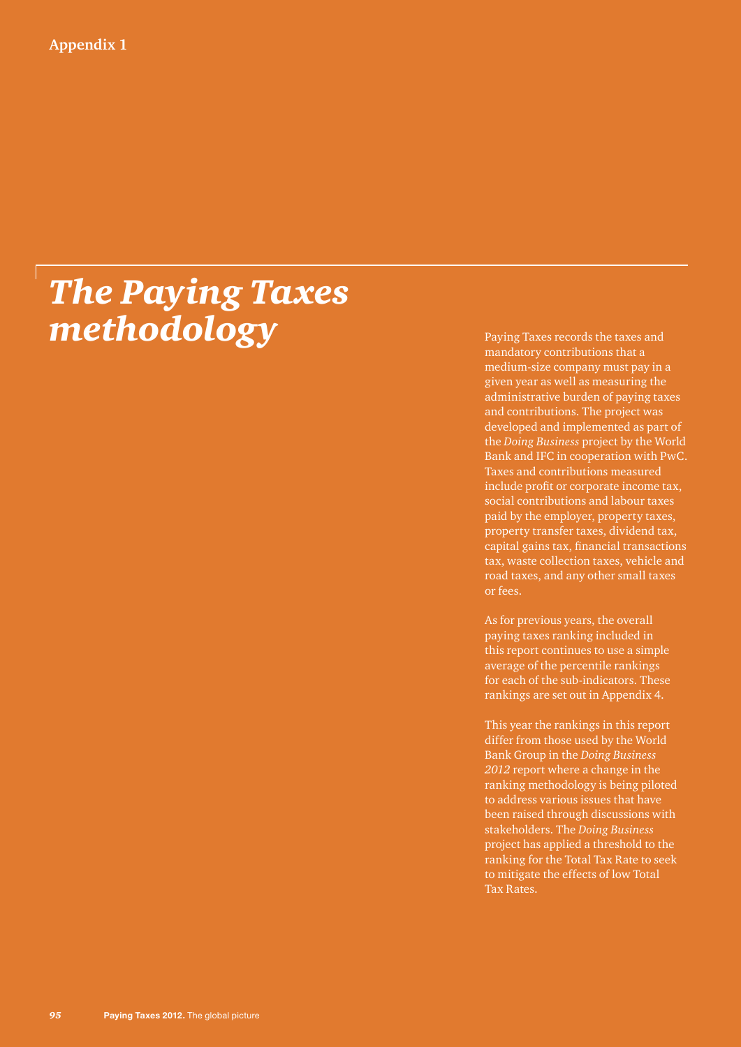# *The Paying Taxes methodology* Paying Taxes records the taxes and

mandatory contributions that a medium-size company must pay in a given year as well as measuring the administrative burden of paying taxes and contributions. The project was developed and implemented as part of the *Doing Business* project by the World Bank and IFC in cooperation with PwC. Taxes and contributions measured include profit or corporate income tax, social contributions and labour taxes paid by the employer, property taxes, property transfer taxes, dividend tax, capital gains tax, financial transactions tax, waste collection taxes, vehicle and road taxes, and any other small taxes or fees.

As for previous years, the overall paying taxes ranking included in this report continues to use a simple average of the percentile rankings for each of the sub-indicators. These rankings are set out in Appendix 4.

This year the rankings in this report differ from those used by the World Bank Group in the *Doing Business 2012* report where a change in the ranking methodology is being piloted to address various issues that have been raised through discussions with stakeholders. The *Doing Business* project has applied a threshold to the ranking for the Total Tax Rate to seek to mitigate the effects of low Total Tax Rates.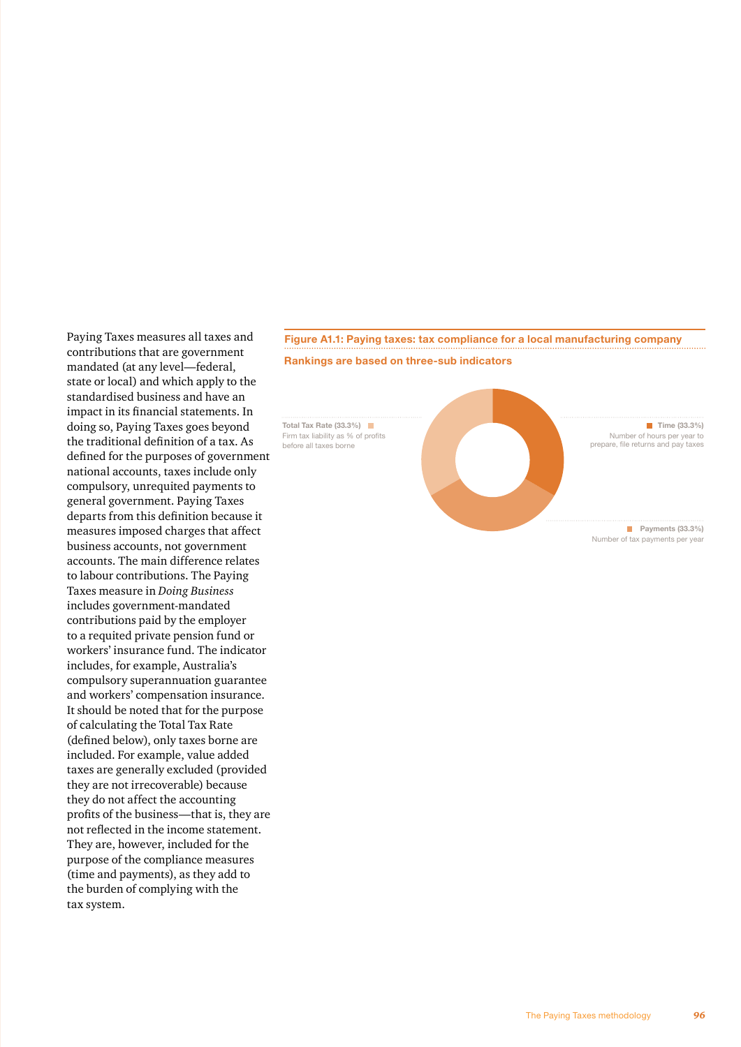Paying Taxes measures all taxes and contributions that are government mandated (at any level—federal, state or local) and which apply to the standardised business and have an impact in its financial statements. In doing so, Paying Taxes goes beyond the traditional definition of a tax. As defined for the purposes of government national accounts, taxes include only compulsory, unrequited payments to general government. Paying Taxes departs from this definition because it measures imposed charges that affect business accounts, not government accounts. The main difference relates to labour contributions. The Paying Taxes measure in *Doing Business* includes government-mandated contributions paid by the employer to a requited private pension fund or workers' insurance fund. The indicator includes, for example, Australia's compulsory superannuation guarantee and workers' compensation insurance. It should be noted that for the purpose of calculating the Total Tax Rate (defined below), only taxes borne are included. For example, value added taxes are generally excluded (provided they are not irrecoverable) because they do not affect the accounting profits of the business—that is, they are not reflected in the income statement. They are, however, included for the purpose of the compliance measures (time and payments), as they add to the burden of complying with the tax system.

## **Figure A1.1: Paying taxes: tax compliance for a local manufacturing company Rankings are based on three-sub indicators**

**Total Tax Rate (33.3%)** Firm tax liability as % of profits before all taxes borne

> **Payments (33.3%)** Number of tax payments per year

> **Time (33.3%)** Number of hours per year to prepare, file returns and pay taxes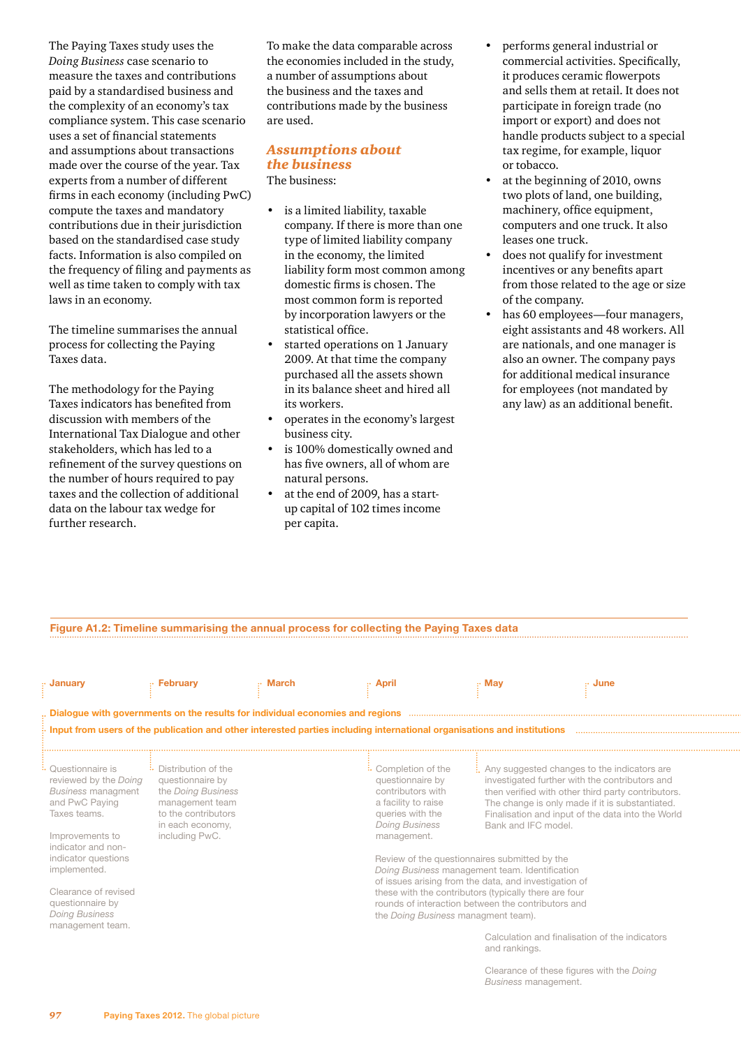The Paying Taxes study uses the *Doing Business* case scenario to measure the taxes and contributions paid by a standardised business and the complexity of an economy's tax compliance system. This case scenario uses a set of financial statements and assumptions about transactions made over the course of the year. Tax experts from a number of different firms in each economy (including PwC) compute the taxes and mandatory contributions due in their jurisdiction based on the standardised case study facts. Information is also compiled on the frequency of filing and payments as well as time taken to comply with tax laws in an economy.

The timeline summarises the annual process for collecting the Paying Taxes data.

The methodology for the Paying Taxes indicators has benefited from discussion with members of the International Tax Dialogue and other stakeholders, which has led to a refinement of the survey questions on the number of hours required to pay taxes and the collection of additional data on the labour tax wedge for further research.

To make the data comparable across the economies included in the study, a number of assumptions about the business and the taxes and contributions made by the business are used.

#### *Assumptions about the business* The business:

• is a limited liability, taxable company. If there is more than one type of limited liability company in the economy, the limited liability form most common among domestic firms is chosen. The most common form is reported by incorporation lawyers or the statistical office.

- started operations on 1 January 2009. At that time the company purchased all the assets shown in its balance sheet and hired all its workers.
- operates in the economy's largest business city.
- is 100% domestically owned and has five owners, all of whom are natural persons.
- at the end of 2009, has a startup capital of 102 times income per capita.
- performs general industrial or commercial activities. Specifically, it produces ceramic flowerpots and sells them at retail. It does not participate in foreign trade (no import or export) and does not handle products subject to a special tax regime, for example, liquor or tobacco.
- at the beginning of 2010, owns two plots of land, one building, machinery, office equipment, computers and one truck. It also leases one truck.
- does not qualify for investment incentives or any benefits apart from those related to the age or size of the company.
- has 60 employees—four managers, eight assistants and 48 workers. All are nationals, and one manager is also an owner. The company pays for additional medical insurance for employees (not mandated by any law) as an additional benefit.

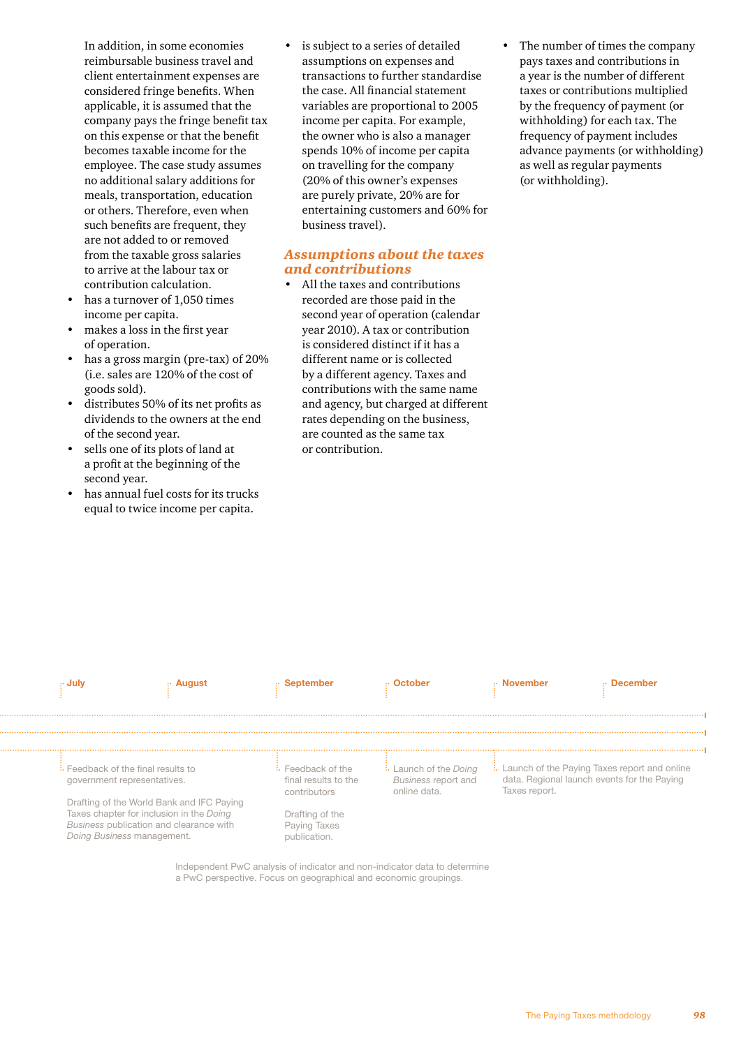In addition, in some economies reimbursable business travel and client entertainment expenses are considered fringe benefits. When applicable, it is assumed that the company pays the fringe benefit tax on this expense or that the benefit becomes taxable income for the employee. The case study assumes no additional salary additions for meals, transportation, education or others. Therefore, even when such benefits are frequent, they are not added to or removed from the taxable gross salaries to arrive at the labour tax or contribution calculation.

- has a turnover of 1,050 times income per capita.
- makes a loss in the first year of operation.
- has a gross margin (pre-tax) of 20% (i.e. sales are 120% of the cost of goods sold).
- distributes 50% of its net profits as dividends to the owners at the end of the second year.
- sells one of its plots of land at a profit at the beginning of the second year.
- has annual fuel costs for its trucks equal to twice income per capita.

is subject to a series of detailed assumptions on expenses and transactions to further standardise the case. All financial statement variables are proportional to 2005 income per capita. For example, the owner who is also a manager spends 10% of income per capita on travelling for the company (20% of this owner's expenses are purely private, 20% are for entertaining customers and 60% for business travel).

### *Assumptions about the taxes and contributions*

- All the taxes and contributions recorded are those paid in the second year of operation (calendar year 2010). A tax or contribution is considered distinct if it has a different name or is collected by a different agency. Taxes and contributions with the same name and agency, but charged at different rates depending on the business, are counted as the same tax or contribution.
- The number of times the company pays taxes and contributions in a year is the number of different taxes or contributions multiplied by the frequency of payment (or withholding) for each tax. The frequency of payment includes advance payments (or withholding) as well as regular payments (or withholding).



a PwC perspective. Focus on geographical and economic groupings.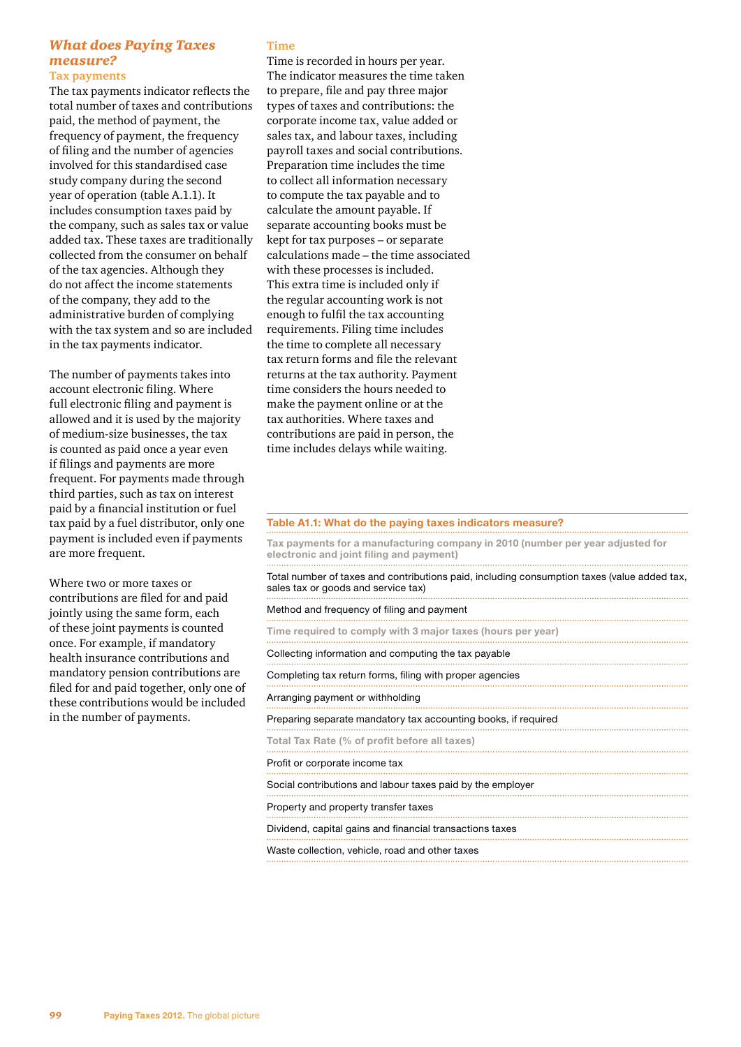#### *What does Paying Taxes measure?* **Tax payments**

The tax payments indicator reflects the total number of taxes and contributions paid, the method of payment, the frequency of payment, the frequency of filing and the number of agencies involved for this standardised case study company during the second year of operation (table A.1.1). It includes consumption taxes paid by the company, such as sales tax or value added tax. These taxes are traditionally collected from the consumer on behalf of the tax agencies. Although they do not affect the income statements of the company, they add to the administrative burden of complying with the tax system and so are included in the tax payments indicator.

The number of payments takes into account electronic filing. Where full electronic filing and payment is allowed and it is used by the majority of medium-size businesses, the tax is counted as paid once a year even if filings and payments are more frequent. For payments made through third parties, such as tax on interest paid by a financial institution or fuel tax paid by a fuel distributor, only one payment is included even if payments are more frequent.

Where two or more taxes or contributions are filed for and paid jointly using the same form, each of these joint payments is counted once. For example, if mandatory health insurance contributions and mandatory pension contributions are filed for and paid together, only one of these contributions would be included in the number of payments.

#### **Time**

Time is recorded in hours per year. The indicator measures the time taken to prepare, file and pay three major types of taxes and contributions: the corporate income tax, value added or sales tax, and labour taxes, including payroll taxes and social contributions. Preparation time includes the time to collect all information necessary to compute the tax payable and to calculate the amount payable. If separate accounting books must be kept for tax purposes – or separate calculations made – the time associated with these processes is included. This extra time is included only if the regular accounting work is not enough to fulfil the tax accounting requirements. Filing time includes the time to complete all necessary tax return forms and file the relevant returns at the tax authority. Payment time considers the hours needed to make the payment online or at the tax authorities. Where taxes and contributions are paid in person, the time includes delays while waiting.

#### **Table A1.1: What do the paying taxes indicators measure?**

**Tax payments for a manufacturing company in 2010 (number per year adjusted for electronic and joint filing and payment)**

Total number of taxes and contributions paid, including consumption taxes (value added tax, sales tax or goods and service tax) Method and frequency of filing and payment **Time required to comply with 3 major taxes (hours per year)** Collecting information and computing the tax payable Completing tax return forms, filing with proper agencies Arranging payment or withholding Preparing separate mandatory tax accounting books, if required **Total Tax Rate (% of profit before all taxes)** Profit or corporate income tax Social contributions and labour taxes paid by the employer Property and property transfer taxes Dividend, capital gains and financial transactions taxes Waste collection, vehicle, road and other taxes